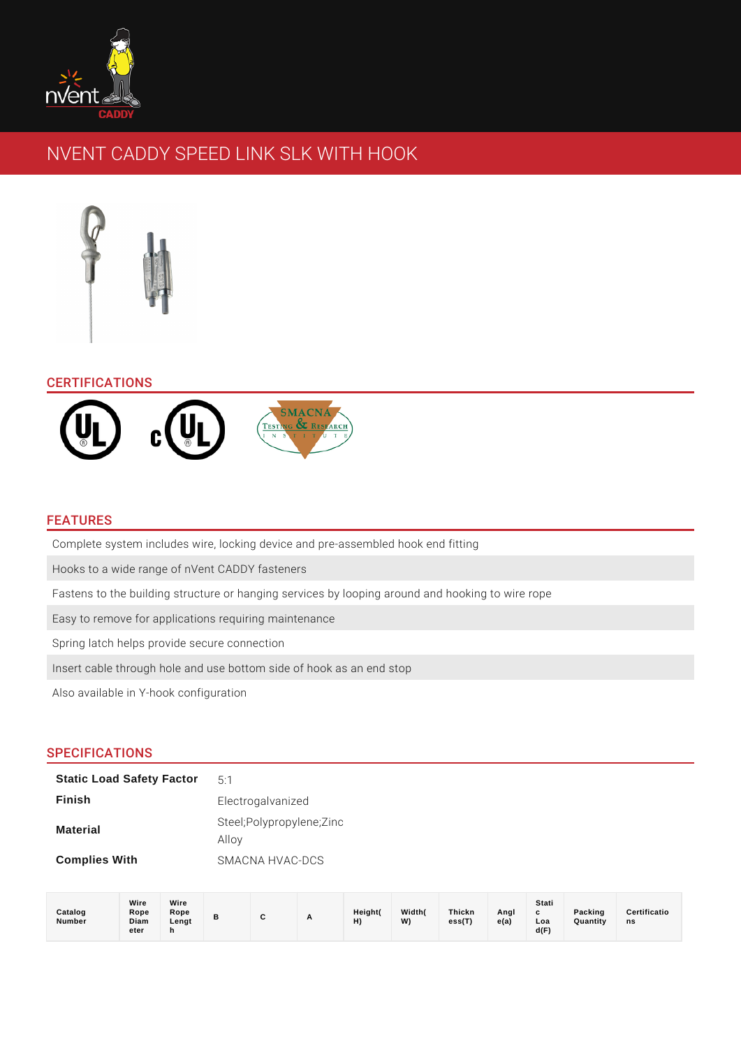

# NVENT CADDY SPEED LINK SLK WITH HOOK



# **CERTIFICATIONS**



## FEATURES

Complete system includes wire, locking device and pre-assembled hook end fitting

Hooks to a wide range of nVent CADDY fasteners

Fastens to the building structure or hanging services by looping around and hooking to wire rope

Easy to remove for applications requiring maintenance

Spring latch helps provide secure connection

Insert cable through hole and use bottom side of hook as an end stop

Also available in Y-hook configuration

## SPECIFICATIONS

| <b>Static Load Safety Factor</b> | 5.1                               |
|----------------------------------|-----------------------------------|
| <b>Finish</b>                    | Electrogalvanized                 |
| <b>Material</b>                  | Steel;Polypropylene;Zinc<br>Alloy |
| <b>Complies With</b>             | SMACNA HVAC-DCS                   |

| Catalog<br>Number | Wire<br>Rope<br>Diam<br>eter | Wire<br>Rope<br>Lengt<br>n | P |  | <u>_</u> | Height(<br>$\blacksquare$<br>п, | Width(<br>W) | <b>Thickn</b><br>ess(T) | Angl<br>e(a) | Stati<br>c<br>Loa<br>d(F) | Packing<br>Quantity | Certificatio<br>ns |
|-------------------|------------------------------|----------------------------|---|--|----------|---------------------------------|--------------|-------------------------|--------------|---------------------------|---------------------|--------------------|
|-------------------|------------------------------|----------------------------|---|--|----------|---------------------------------|--------------|-------------------------|--------------|---------------------------|---------------------|--------------------|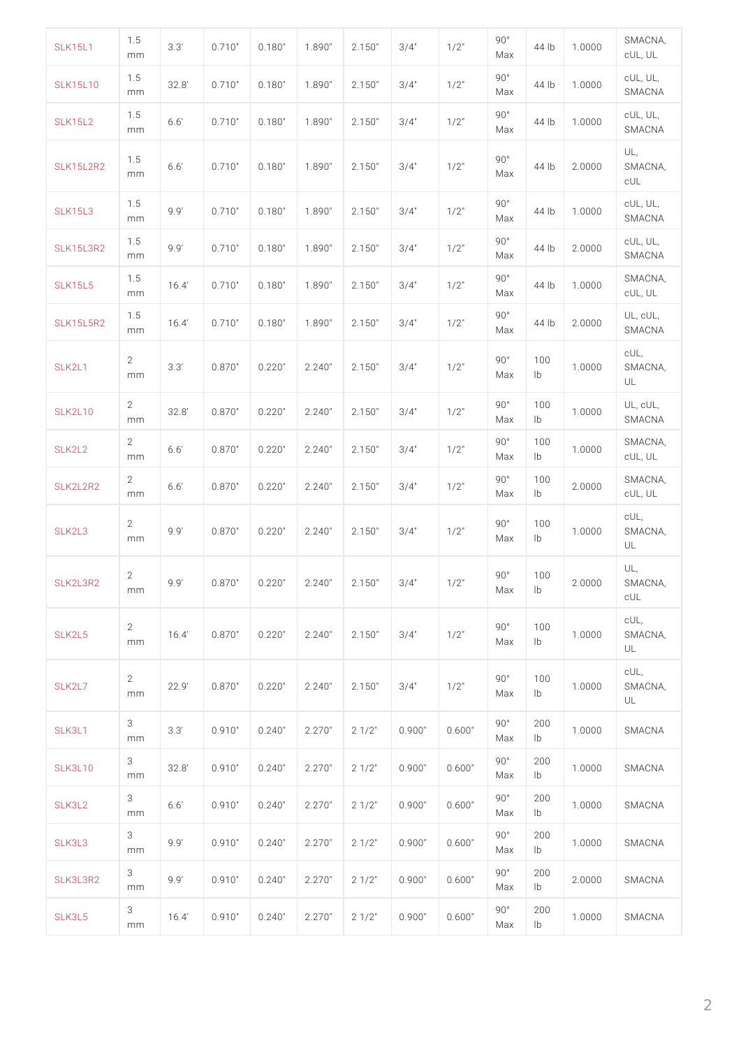| <b>SLK15L1</b>     | 1.5<br>m m            | 3.3'  | 0.710"0.180"1.890"2.150"3/4"                                        |  | $1/2$ " | 90°<br>M a x        |                       | 44 lb 1.0000 | SMACNA,<br>cUL, UL                     |
|--------------------|-----------------------|-------|---------------------------------------------------------------------|--|---------|---------------------|-----------------------|--------------|----------------------------------------|
| SLK15L10           | 1.5<br>m m            | 32.8' | 0.710"0.180"1.890"2.150"3/4"                                        |  | $1/2$ " | $90°$<br>M a x      |                       | 44 lb 1.0000 | cUL, UL,<br>SMACNA                     |
| <b>SLK15L2</b>     | 1.5<br>m m            | 6.6'  | 0.710"0.180"1.890"2.150"3/4"                                        |  | $1/2$ " | 90°<br>M a x        |                       | 44 lb 1.0000 | cUL, UL,<br>SMACNA                     |
| SLK15L2R           | $^{1.5}$<br>m m       | 6.6'  | 0.710"0.180"1.890"2.150"3/4"                                        |  | $1/2$ " | 90°<br>M a x        |                       |              | UL,<br>44   b 2.0000 SMACNA,<br>c U L  |
| <b>SLK15L3</b>     | 1.5<br>m m            | 9.9'  | 0.710"0.180"1.890"2.150"3/4"                                        |  | $1/2$ " | 90°<br>M a x        |                       | 44 lb 1.0000 | cUL, UL,<br>SMACNA                     |
| $SLK15L3R2^{1.5}$  | m m                   | 9.9'  | 0.710"0.180"1.890"2.150"3/4"                                        |  | $1/2$ " | 90°<br>M a x        |                       | 44 lb 2.0000 | cUL, UL,<br>SMACNA                     |
| <b>SLK15L5</b>     | 1.5<br>m <sub>m</sub> | 16.4' | 0.710"0.180"1.890"2.150"3/4"                                        |  | $1/2$ " | 90°<br>M a x        |                       | 44 1b 1.0000 | SMACNA,<br>cUL, UL                     |
| $SLK15L5R2^{1.5}$  | m m                   | 16.4' | 0.710"0.180"1.890"2.150"3/4"                                        |  | $1/2$ " | 90°<br>M a x        |                       | 44 lb 2.0000 | UL, cUL,<br>SMACNA                     |
| SLK2L1             | $\overline{2}$<br>m m | 3.3'  | 0.870"0.220"2.240"2.150"3/4"                                        |  | $1/2$ " | 90°<br>Max          | 100<br>$\mathsf{I}$   |              | cUL,<br>1.0000 SMACNA,<br>U L          |
| <b>SLK2L10</b>     | $\overline{2}$<br>m m | 32.8  | 0.870"0.220"2.240"2.150"3/4"                                        |  | $1/2$ " | 90°<br>Max          | 100<br>$\mathsf{I}$   | 1.0000       | $UL$ , $cUL$ ,<br>SMACNA               |
| SLK2L2             | $\overline{2}$<br>m m | 6.6'  | $0.870$ " $0.220$ " 2.240 " 2.150 " 3/4 "                           |  | $1/2$ " | $90°$<br>M a x      | 100<br>1 <sub>b</sub> | 1.0000       | SMACNA,<br>cUL, UL                     |
| SLK2L2R2           | $\overline{2}$<br>m m | 6.6'  | 0.870"0.220"2.240"2.150"3/4"                                        |  | $1/2$ " | 90°<br>M a x        | 100<br>$\mathsf{I}$ b | 2.0000       | SMACNA,<br>CUL, UL                     |
| SLK2L3             | $\overline{2}$<br>m m | 9.9'  | 0.870"0.220"2.240"2.150"3/4"                                        |  | $1/2$ " | 90°<br>Max          | 100<br>$\mathsf{I}$   |              | $c \cup L$ ,<br>$1.0000$ SMACNA,<br>UL |
| $S L K 2 L 3 R 22$ | m m                   |       | 9.9' 0.870 "0.220 "2.240 "2.150 "3/4" 1/2"                          |  |         | 90°<br>$Max$ $1b$   | 100                   |              | UL,<br>$2.0000$ SMACNA,<br>c U L       |
| SLK2L5             | 2<br>m m              |       | $16.4$   $0.870$ " $0.220$ " $2.240$ " $2.150$ " $3/4$ "            |  | $1/2$ " | 90°<br>Max          | 100<br>l b            |              | $c \cup L$ ,<br>$1.0000$ SMACNA,<br>UL |
| SLK2L7             | 2<br>m m              | 22.9' | 0.870"0.220"2.240"2.150"3/4"                                        |  | $1/2$ " | 90°<br>Max          | 100<br>l b            |              | cUL,<br>$1.0000$ SMACNA,<br>UL         |
| SLK3L1             | 3<br>m m              | 3.3'  | $0.910$ $"$ $0.240$ $"$ $2.270$ $"$ $2.1/2$ $"$ $0.900$ $"$ $0.600$ |  |         | 90°<br>M a x        | 200<br>l b            |              | 1.0000 SMACNA                          |
| SLK3L10            | 3<br>m m              | 32.8  | 0.910"0.240"2.270"2 1/2"0.900"0.600                                 |  |         | 90°<br>Max          | 200<br>l b            |              | 1.0000 SMACNA                          |
| SLK3L2             | 3<br>m m              | 6.6'  | 0.910"0.240"2.270"2 1/2" 0.900"0.600"                               |  |         | $90°$<br>M a x      | 200<br>l b            |              | 1.0000 SMACNA                          |
| SLK3L3             | 3<br>m m              | 9.9'  | $0.910$ " $0.240$ " $2.270$ " $2.1/2$ " $0.900$ " $0.600$           |  |         | $90°$<br>Max        | 200<br>l b            |              | 1.0000 SMACNA                          |
| SLK3L3R2           | 3<br>m m              | 9.9'  | 0.910"0.240"2.270"2 1/2"0.900"0.600"                                |  |         | $90°$<br>M a x      | 200<br>l b            |              | 2.0000 SMACNA                          |
| SLK3L5             | 3<br>m m              | 16.4' | 0.910"0.240"2.270"2 1/2" 0.900" 0.600                               |  |         | $90^{\circ}$<br>Max | 200<br>l b            |              | 1.0000 SMACNA                          |